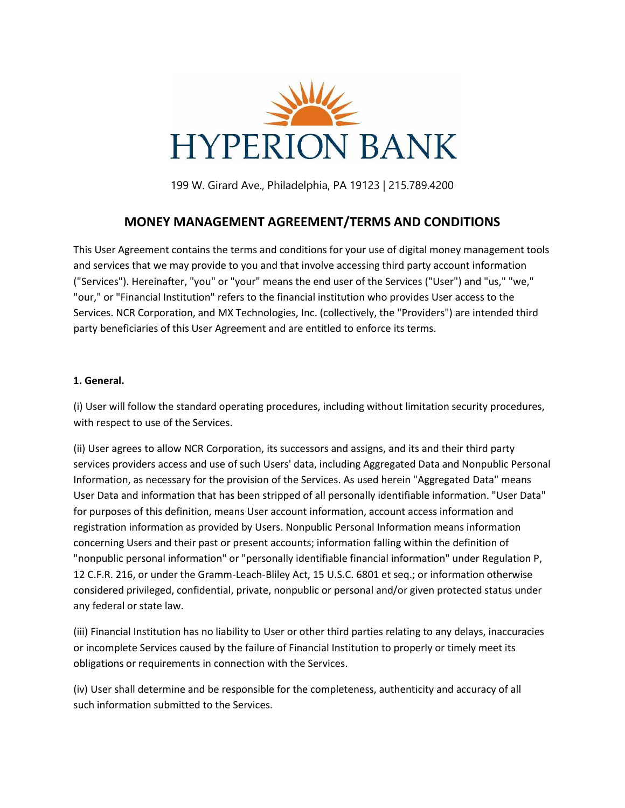

199 W. Girard Ave., Philadelphia, PA 19123 | 215.789.4200

## **MONEY MANAGEMENT AGREEMENT/TERMS AND CONDITIONS**

This User Agreement contains the terms and conditions for your use of digital money management tools and services that we may provide to you and that involve accessing third party account information ("Services"). Hereinafter, "you" or "your" means the end user of the Services ("User") and "us," "we," "our," or "Financial Institution" refers to the financial institution who provides User access to the Services. NCR Corporation, and MX Technologies, Inc. (collectively, the "Providers") are intended third party beneficiaries of this User Agreement and are entitled to enforce its terms.

## **1. General.**

(i) User will follow the standard operating procedures, including without limitation security procedures, with respect to use of the Services.

(ii) User agrees to allow NCR Corporation, its successors and assigns, and its and their third party services providers access and use of such Users' data, including Aggregated Data and Nonpublic Personal Information, as necessary for the provision of the Services. As used herein "Aggregated Data" means User Data and information that has been stripped of all personally identifiable information. "User Data" for purposes of this definition, means User account information, account access information and registration information as provided by Users. Nonpublic Personal Information means information concerning Users and their past or present accounts; information falling within the definition of "nonpublic personal information" or "personally identifiable financial information" under Regulation P, 12 C.F.R. 216, or under the Gramm-Leach-Bliley Act, 15 U.S.C. 6801 et seq.; or information otherwise considered privileged, confidential, private, nonpublic or personal and/or given protected status under any federal or state law.

(iii) Financial Institution has no liability to User or other third parties relating to any delays, inaccuracies or incomplete Services caused by the failure of Financial Institution to properly or timely meet its obligations or requirements in connection with the Services.

(iv) User shall determine and be responsible for the completeness, authenticity and accuracy of all such information submitted to the Services.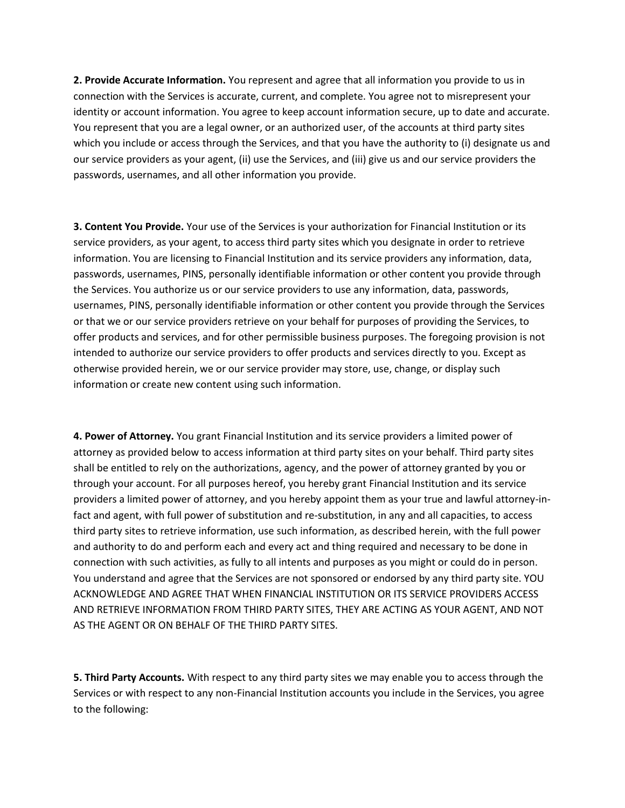**2. Provide Accurate Information.** You represent and agree that all information you provide to us in connection with the Services is accurate, current, and complete. You agree not to misrepresent your identity or account information. You agree to keep account information secure, up to date and accurate. You represent that you are a legal owner, or an authorized user, of the accounts at third party sites which you include or access through the Services, and that you have the authority to (i) designate us and our service providers as your agent, (ii) use the Services, and (iii) give us and our service providers the passwords, usernames, and all other information you provide.

**3. Content You Provide.** Your use of the Services is your authorization for Financial Institution or its service providers, as your agent, to access third party sites which you designate in order to retrieve information. You are licensing to Financial Institution and its service providers any information, data, passwords, usernames, PINS, personally identifiable information or other content you provide through the Services. You authorize us or our service providers to use any information, data, passwords, usernames, PINS, personally identifiable information or other content you provide through the Services or that we or our service providers retrieve on your behalf for purposes of providing the Services, to offer products and services, and for other permissible business purposes. The foregoing provision is not intended to authorize our service providers to offer products and services directly to you. Except as otherwise provided herein, we or our service provider may store, use, change, or display such information or create new content using such information.

**4. Power of Attorney.** You grant Financial Institution and its service providers a limited power of attorney as provided below to access information at third party sites on your behalf. Third party sites shall be entitled to rely on the authorizations, agency, and the power of attorney granted by you or through your account. For all purposes hereof, you hereby grant Financial Institution and its service providers a limited power of attorney, and you hereby appoint them as your true and lawful attorney-infact and agent, with full power of substitution and re-substitution, in any and all capacities, to access third party sites to retrieve information, use such information, as described herein, with the full power and authority to do and perform each and every act and thing required and necessary to be done in connection with such activities, as fully to all intents and purposes as you might or could do in person. You understand and agree that the Services are not sponsored or endorsed by any third party site. YOU ACKNOWLEDGE AND AGREE THAT WHEN FINANCIAL INSTITUTION OR ITS SERVICE PROVIDERS ACCESS AND RETRIEVE INFORMATION FROM THIRD PARTY SITES, THEY ARE ACTING AS YOUR AGENT, AND NOT AS THE AGENT OR ON BEHALF OF THE THIRD PARTY SITES.

**5. Third Party Accounts.** With respect to any third party sites we may enable you to access through the Services or with respect to any non-Financial Institution accounts you include in the Services, you agree to the following: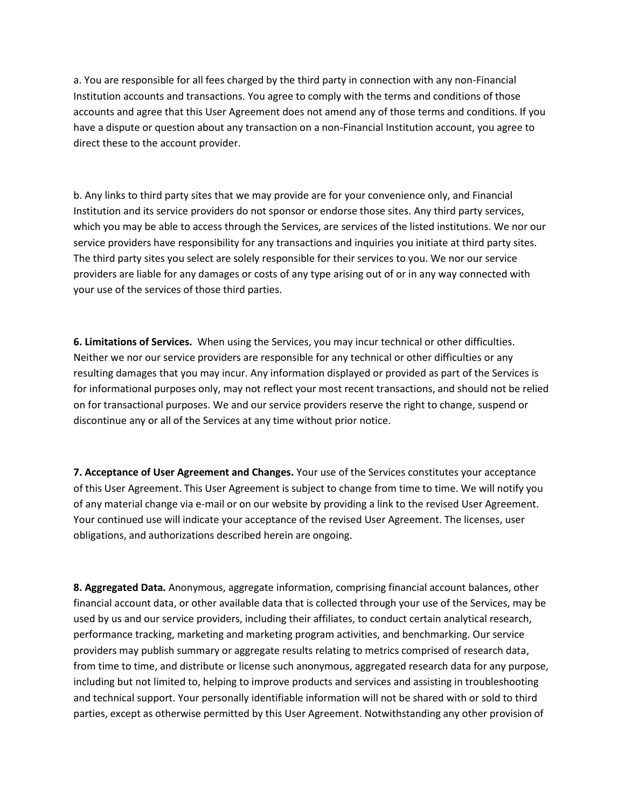a. You are responsible for all fees charged by the third party in connection with any non-Financial Institution accounts and transactions. You agree to comply with the terms and conditions of those accounts and agree that this User Agreement does not amend any of those terms and conditions. If you have a dispute or question about any transaction on a non-Financial Institution account, you agree to direct these to the account provider.

b. Any links to third party sites that we may provide are for your convenience only, and Financial Institution and its service providers do not sponsor or endorse those sites. Any third party services, which you may be able to access through the Services, are services of the listed institutions. We nor our service providers have responsibility for any transactions and inquiries you initiate at third party sites. The third party sites you select are solely responsible for their services to you. We nor our service providers are liable for any damages or costs of any type arising out of or in any way connected with your use of the services of those third parties.

**6. Limitations of Services.** When using the Services, you may incur technical or other difficulties. Neither we nor our service providers are responsible for any technical or other difficulties or any resulting damages that you may incur. Any information displayed or provided as part of the Services is for informational purposes only, may not reflect your most recent transactions, and should not be relied on for transactional purposes. We and our service providers reserve the right to change, suspend or discontinue any or all of the Services at any time without prior notice.

**7. Acceptance of User Agreement and Changes.** Your use of the Services constitutes your acceptance of this User Agreement. This User Agreement is subject to change from time to time. We will notify you of any material change via e-mail or on our website by providing a link to the revised User Agreement. Your continued use will indicate your acceptance of the revised User Agreement. The licenses, user obligations, and authorizations described herein are ongoing.

**8. Aggregated Data.** Anonymous, aggregate information, comprising financial account balances, other financial account data, or other available data that is collected through your use of the Services, may be used by us and our service providers, including their affiliates, to conduct certain analytical research, performance tracking, marketing and marketing program activities, and benchmarking. Our service providers may publish summary or aggregate results relating to metrics comprised of research data, from time to time, and distribute or license such anonymous, aggregated research data for any purpose, including but not limited to, helping to improve products and services and assisting in troubleshooting and technical support. Your personally identifiable information will not be shared with or sold to third parties, except as otherwise permitted by this User Agreement. Notwithstanding any other provision of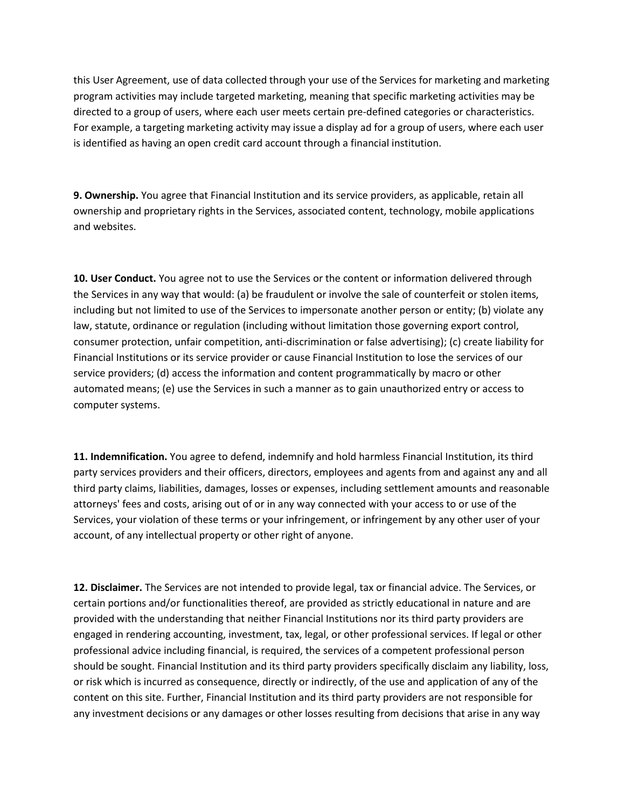this User Agreement, use of data collected through your use of the Services for marketing and marketing program activities may include targeted marketing, meaning that specific marketing activities may be directed to a group of users, where each user meets certain pre-defined categories or characteristics. For example, a targeting marketing activity may issue a display ad for a group of users, where each user is identified as having an open credit card account through a financial institution.

**9. Ownership.** You agree that Financial Institution and its service providers, as applicable, retain all ownership and proprietary rights in the Services, associated content, technology, mobile applications and websites.

**10. User Conduct.** You agree not to use the Services or the content or information delivered through the Services in any way that would: (a) be fraudulent or involve the sale of counterfeit or stolen items, including but not limited to use of the Services to impersonate another person or entity; (b) violate any law, statute, ordinance or regulation (including without limitation those governing export control, consumer protection, unfair competition, anti-discrimination or false advertising); (c) create liability for Financial Institutions or its service provider or cause Financial Institution to lose the services of our service providers; (d) access the information and content programmatically by macro or other automated means; (e) use the Services in such a manner as to gain unauthorized entry or access to computer systems.

**11. Indemnification.** You agree to defend, indemnify and hold harmless Financial Institution, its third party services providers and their officers, directors, employees and agents from and against any and all third party claims, liabilities, damages, losses or expenses, including settlement amounts and reasonable attorneys' fees and costs, arising out of or in any way connected with your access to or use of the Services, your violation of these terms or your infringement, or infringement by any other user of your account, of any intellectual property or other right of anyone.

**12. Disclaimer.** The Services are not intended to provide legal, tax or financial advice. The Services, or certain portions and/or functionalities thereof, are provided as strictly educational in nature and are provided with the understanding that neither Financial Institutions nor its third party providers are engaged in rendering accounting, investment, tax, legal, or other professional services. If legal or other professional advice including financial, is required, the services of a competent professional person should be sought. Financial Institution and its third party providers specifically disclaim any liability, loss, or risk which is incurred as consequence, directly or indirectly, of the use and application of any of the content on this site. Further, Financial Institution and its third party providers are not responsible for any investment decisions or any damages or other losses resulting from decisions that arise in any way